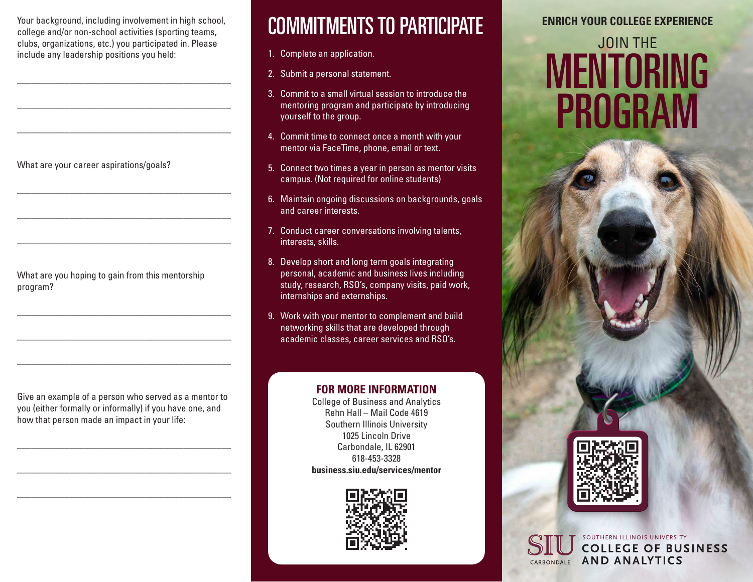Your background, including involvement in high school, college and/or non-school activities (sporting teams, clubs, organizations, etc.) you participated in. Please include any leadership positions you held:

\_\_\_\_\_\_\_\_\_\_\_\_\_\_\_\_\_\_\_\_\_\_\_\_\_\_\_\_\_\_\_\_\_\_\_\_\_\_\_\_\_\_\_\_\_

\_\_\_\_\_\_\_\_\_\_\_\_\_\_\_\_\_\_\_\_\_\_\_\_\_\_\_\_\_\_\_\_\_\_\_\_\_\_\_\_\_\_\_\_\_

\_\_\_\_\_\_\_\_\_\_\_\_\_\_\_\_\_\_\_\_\_\_\_\_\_\_\_\_\_\_\_\_\_\_\_\_\_\_\_\_\_\_\_\_\_

\_\_\_\_\_\_\_\_\_\_\_\_\_\_\_\_\_\_\_\_\_\_\_\_\_\_\_\_\_\_\_\_\_\_\_\_\_\_\_\_\_\_\_\_\_

\_\_\_\_\_\_\_\_\_\_\_\_\_\_\_\_\_\_\_\_\_\_\_\_\_\_\_\_\_\_\_\_\_\_\_\_\_\_\_\_\_\_\_\_\_

\_\_\_\_\_\_\_\_\_\_\_\_\_\_\_\_\_\_\_\_\_\_\_\_\_\_\_\_\_\_\_\_\_\_\_\_\_\_\_\_\_\_\_\_\_

\_\_\_\_\_\_\_\_\_\_\_\_\_\_\_\_\_\_\_\_\_\_\_\_\_\_\_\_\_\_\_\_\_\_\_\_\_\_\_\_\_\_\_\_\_

\_\_\_\_\_\_\_\_\_\_\_\_\_\_\_\_\_\_\_\_\_\_\_\_\_\_\_\_\_\_\_\_\_\_\_\_\_\_\_\_\_\_\_\_\_

\_\_\_\_\_\_\_\_\_\_\_\_\_\_\_\_\_\_\_\_\_\_\_\_\_\_\_\_\_\_\_\_\_\_\_\_\_\_\_\_\_\_\_\_\_

What are your career aspirations/goals?

What are you hoping to gain from this mentorship program?

Give an example of a person who served as a mentor to you (either formally or informally) if you have one, and how that person made an impact in your life:

\_\_\_\_\_\_\_\_\_\_\_\_\_\_\_\_\_\_\_\_\_\_\_\_\_\_\_\_\_\_\_\_\_\_\_\_\_\_\_\_\_\_\_\_\_

\_\_\_\_\_\_\_\_\_\_\_\_\_\_\_\_\_\_\_\_\_\_\_\_\_\_\_\_\_\_\_\_\_\_\_\_\_\_\_\_\_\_\_\_\_

\_\_\_\_\_\_\_\_\_\_\_\_\_\_\_\_\_\_\_\_\_\_\_\_\_\_\_\_\_\_\_\_\_\_\_\_\_\_\_\_\_\_\_\_\_

### COMMITMENTS TO PARTICIPATE

- 1. Complete an application.
- 2. Submit a personal statement.
- 3. Commit to a small virtual session to introduce the mentoring program and participate by introducing yourself to the group.
- 4. Commit time to connect once a month with your mentor via FaceTime, phone, email or text.
- 5. Connect two times a year in person as mentor visits campus. (Not required for online students)
- 6. Maintain ongoing discussions on backgrounds, goals and career interests.
- 7. Conduct career conversations involving talents, interests, skills.
- 8. Develop short and long term goals integrating personal, academic and business lives including study, research, RSO's, company visits, paid work, internships and externships.
- 9. Work with your mentor to complement and build networking skills that are developed through academic classes, career services and RSO's.

#### **FOR MORE INFORMATION**

College of Business and Analytics Rehn Hall – Mail Code 4619 Southern Illinois University 1025 Lincoln Drive Carbondale, IL 62901 618-453-3328 **business.siu.edu/services/mentor**



#### **ENRICH YOUR COLLEGE EXPERIENCE**

# JOIN THE MENTORING PROGRAM



SOUTHERN ILLINOIS UNIVERSITY **COLLEGE OF BUSINESS AND ANALYTICS** CARBONDALE